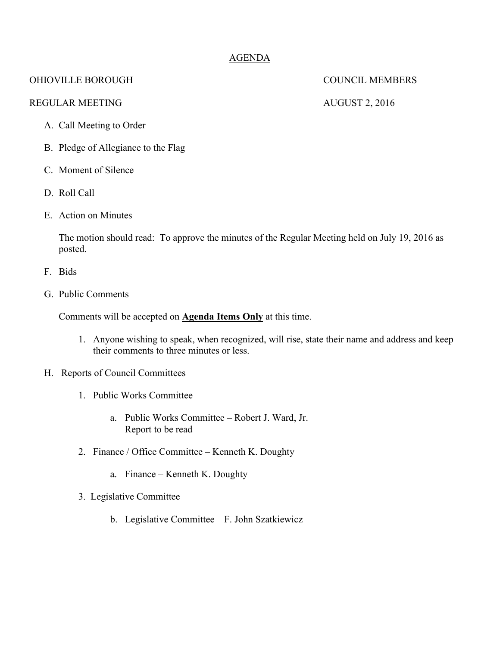### AGENDA

### OHIOVILLE BOROUGH COUNCIL MEMBERS

### REGULAR MEETING AUGUST 2, 2016

- A. Call Meeting to Order
- B. Pledge of Allegiance to the Flag
- C. Moment of Silence
- D. Roll Call
- E. Action on Minutes

The motion should read: To approve the minutes of the Regular Meeting held on July 19, 2016 as posted.

- F. Bids
- G. Public Comments

Comments will be accepted on **Agenda Items Only** at this time.

- 1. Anyone wishing to speak, when recognized, will rise, state their name and address and keep their comments to three minutes or less.
- H. Reports of Council Committees
	- 1. Public Works Committee
		- a. Public Works Committee Robert J. Ward, Jr. Report to be read
	- 2. Finance / Office Committee Kenneth K. Doughty
		- a. Finance Kenneth K. Doughty
	- 3. Legislative Committee
		- b. Legislative Committee F. John Szatkiewicz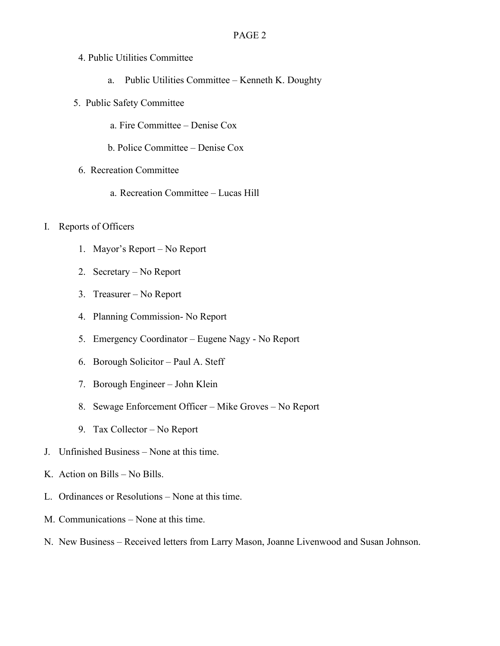- 4. Public Utilities Committee
	- a. Public Utilities Committee Kenneth K. Doughty
- 5. Public Safety Committee
	- a. Fire Committee Denise Cox
	- b. Police Committee Denise Cox
- 6. Recreation Committee
	- a. Recreation Committee Lucas Hill
- I. Reports of Officers
	- 1. Mayor's Report No Report
	- 2. Secretary No Report
	- 3. Treasurer No Report
	- 4. Planning Commission- No Report
	- 5. Emergency Coordinator Eugene Nagy No Report
	- 6. Borough Solicitor Paul A. Steff
	- 7. Borough Engineer John Klein
	- 8. Sewage Enforcement Officer Mike Groves No Report
	- 9. Tax Collector No Report
- J. Unfinished Business None at this time.
- K. Action on Bills No Bills.
- L. Ordinances or Resolutions None at this time.
- M. Communications None at this time.
- N. New Business Received letters from Larry Mason, Joanne Livenwood and Susan Johnson.